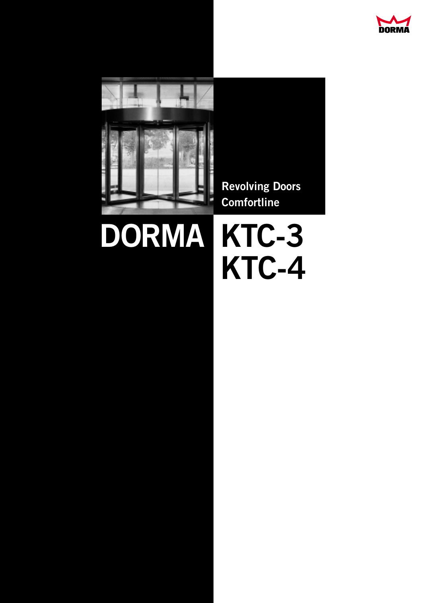



# **DORMA KTC-3**

# **KTC-4**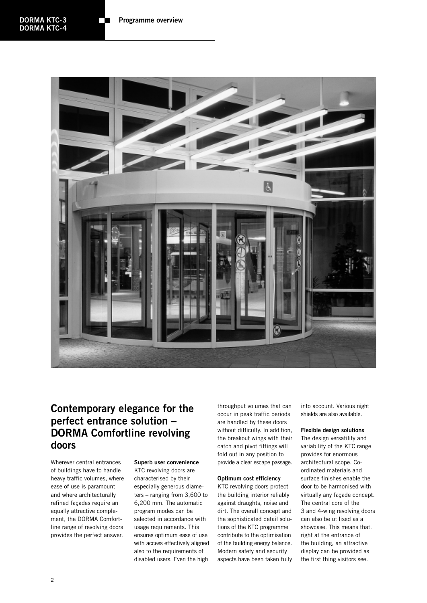

### **Contemporary elegance for the perfect entrance solution – DORMA Comfortline revolving doors**

Wherever central entrances of buildings have to handle heavy traffic volumes, where ease of use is paramount and where architecturally refined façades require an equally attractive complement, the DORMA Comfortline range of revolving doors provides the perfect answer.

#### **Superb user convenience** KTC revolving doors are

characterised by their especially generous diameters – ranging from 3,600 to 6,200 mm. The automatic program modes can be selected in accordance with usage requirements. This ensures optimum ease of use with access effectively aligned also to the requirements of disabled users. Even the high

throughput volumes that can occur in peak traffic periods are handled by these doors without difficulty. In addition, the breakout wings with their catch and pivot fittings will fold out in any position to provide a clear escape passage.

#### **Optimum cost efficiency**

KTC revolving doors protect the building interior reliably against draughts, noise and dirt. The overall concept and the sophisticated detail solutions of the KTC programme contribute to the optimisation of the building energy balance. Modern safety and security aspects have been taken fully

into account. Various night shields are also available.

#### **Flexible design solutions**

The design versatility and variability of the KTC range provides for enormous architectural scope. Coordinated materials and surface finishes enable the door to be harmonised with virtually any façade concept. The central core of the 3 and 4-wing revolving doors can also be utilised as a showcase. This means that, right at the entrance of the building, an attractive display can be provided as the first thing visitors see.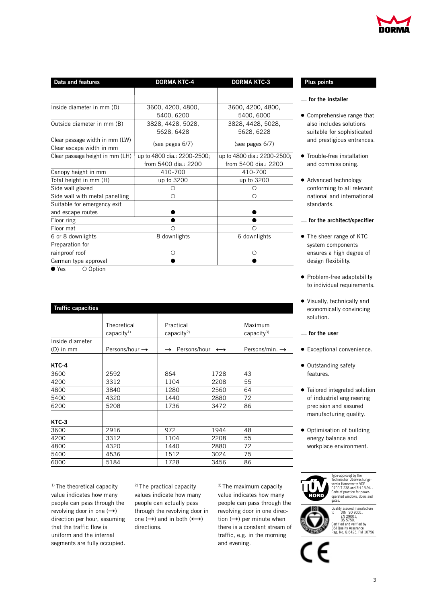| DORMA |  |
|-------|--|

| Data and features               | <b>DORMA KTC-4</b>          | <b>DORMA KTC-3</b>          |  |
|---------------------------------|-----------------------------|-----------------------------|--|
|                                 |                             |                             |  |
| Inside diameter in mm (D)       | 3600, 4200, 4800,           | 3600, 4200, 4800,           |  |
|                                 | 5400, 6200                  | 5400, 6000                  |  |
| Outside diameter in mm (B)      | 3828, 4428, 5028,           | 3828, 4428, 5028,           |  |
|                                 | 5628, 6428                  | 5628, 6228                  |  |
| Clear passage width in mm (LW)  |                             |                             |  |
| Clear escape width in mm        | (see pages 6/7)             | (see pages 6/7)             |  |
| Clear passage height in mm (LH) | up to 4800 dia.: 2200-2500; | up to 4800 dia.: 2200-2500; |  |
|                                 | from 5400 dia.: 2200        | from 5400 dia.: 2200        |  |
| Canopy height in mm             | 410-700                     | 410-700                     |  |
| Total height in mm (H)          | up to 3200                  | up to 3200                  |  |
| Side wall glazed                | О                           |                             |  |
| Side wall with metal panelling  | Ω                           |                             |  |
| Suitable for emergency exit     |                             |                             |  |
| and escape routes               |                             |                             |  |
| Floor ring                      |                             |                             |  |
| Floor mat                       | О                           |                             |  |
| 6 or 8 downlights               | 8 downlights                | 6 downlights                |  |
| Preparation for                 |                             |                             |  |
| rainproof roof                  | Ω                           |                             |  |
| German type approval            |                             |                             |  |
|                                 |                             |                             |  |

 $\overline{\bullet}$  Yes  $\overline{\circ}$  Option

| <b>Traffic capacities</b> |                                       |                                                 |      |                                   |  |  |
|---------------------------|---------------------------------------|-------------------------------------------------|------|-----------------------------------|--|--|
|                           | Theoretical<br>capacity <sup>1)</sup> | Practical<br>capacity <sup>2)</sup>             |      | Maximum<br>capacity <sup>3)</sup> |  |  |
| Inside diameter           |                                       |                                                 |      |                                   |  |  |
| $(D)$ in mm               | Persons/hour $\rightarrow$            | Persons/hour $\leftrightarrow$<br>$\rightarrow$ |      | Persons/min. $\rightarrow$        |  |  |
| KTC-4                     |                                       |                                                 |      |                                   |  |  |
| 3600                      | 2592                                  | 864                                             | 1728 | 43                                |  |  |
| 4200                      | 3312                                  | 1104                                            | 2208 | 55                                |  |  |
| 4800                      | 3840                                  | 1280                                            | 2560 | 64                                |  |  |
| 5400                      | 4320                                  | 1440                                            | 2880 | 72                                |  |  |
| 6200                      | 5208                                  | 1736                                            | 3472 | 86                                |  |  |
| KTC-3                     |                                       |                                                 |      |                                   |  |  |
| 3600                      | 2916                                  | 972                                             | 1944 | 48                                |  |  |
| 4200                      | 3312                                  | 1104                                            | 2208 | 55                                |  |  |
| 4800                      | 4320                                  | 1440                                            | 2880 | 72                                |  |  |
| 5400                      | 4536                                  | 1512                                            | 3024 | 75                                |  |  |
| 6000                      | 5184                                  | 1728                                            | 3456 | 86                                |  |  |

<sup>1)</sup> The theoretical capacity value indicates how many people can pass through the revolving door in one  $(\rightarrow)$ direction per hour, assuming that the traffic flow is uniform and the internal segments are fully occupied.

2) The practical capacity values indicate how many people can actually pass through the revolving door in one  $(\rightarrow)$  and in both  $(\rightarrow)$ directions.

3) The maximum capacity value indicates how many people can pass through the revolving door in one direction  $(\rightarrow)$  per minute when there is a constant stream of traffic, e.g. in the morning and evening.

#### **Plus points**

#### **… for the installer**

- Comprehensive range that also includes solutions suitable for sophisticated and prestigious entrances.
- **•** Trouble-free installation and commissioning.
- Advanced technology conforming to all relevant national and international standards.

#### **… for the architect/specifier**

- The sheer range of KTC system components ensures a high degree of design flexibility.
- Problem-free adaptability to individual requirements.
- Visually, technically and economically convincing solution.

#### **… for the user**

- Exceptional convenience.
- Outstanding safety features.
- Tailored integrated solution of industrial engineering precision and assured manufacturing quality.
- Optimisation of building energy balance and workplace environment.



Quality assured manufacture to DIN ISO 9001, EN 29001, BS 5750. Certified and verified by BSI Quality Assurance Reg. No. Q 6423, FM 10756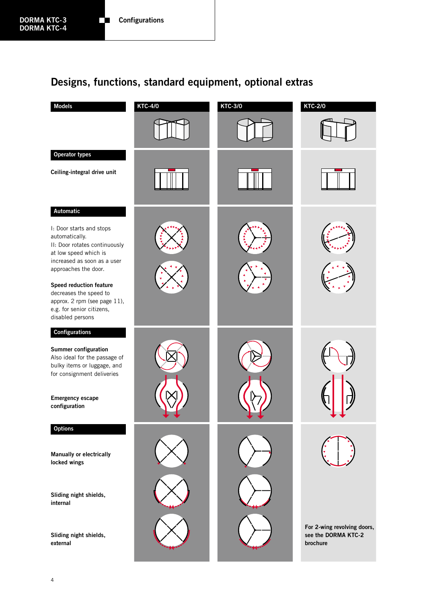## **Designs, functions, standard equipment, optional extras**

| <b>Models</b>                                                                                                                                               | <b>KTC-4/0</b> | <b>KTC-3/0</b> | <b>KTC-2/0</b>                                                 |
|-------------------------------------------------------------------------------------------------------------------------------------------------------------|----------------|----------------|----------------------------------------------------------------|
|                                                                                                                                                             |                |                |                                                                |
| Operator types                                                                                                                                              |                |                |                                                                |
| Ceiling-integral drive unit                                                                                                                                 |                |                |                                                                |
| Automatic                                                                                                                                                   |                |                |                                                                |
| I: Door starts and stops<br>automatically.<br>II: Door rotates continuously<br>at low speed which is<br>increased as soon as a user<br>approaches the door. |                |                |                                                                |
| Speed reduction feature<br>decreases the speed to<br>approx. 2 rpm (see page 11),<br>e.g. for senior citizens,<br>disabled persons                          |                |                |                                                                |
| Configurations                                                                                                                                              |                |                |                                                                |
| Summer configuration<br>Also ideal for the passage of<br>bulky items or luggage, and<br>for consignment deliveries                                          |                |                |                                                                |
| <b>Emergency escape</b><br>configuration                                                                                                                    |                |                |                                                                |
| <b>Options</b>                                                                                                                                              |                |                |                                                                |
| Manually or electrically<br>locked wings                                                                                                                    |                |                |                                                                |
| Sliding night shields,<br>internal                                                                                                                          |                |                |                                                                |
| Sliding night shields,<br>external                                                                                                                          |                |                | For 2-wing revolving doors,<br>see the DORMA KTC-2<br>brochure |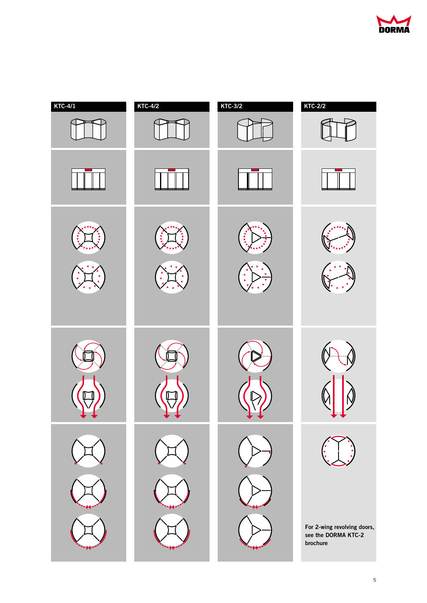

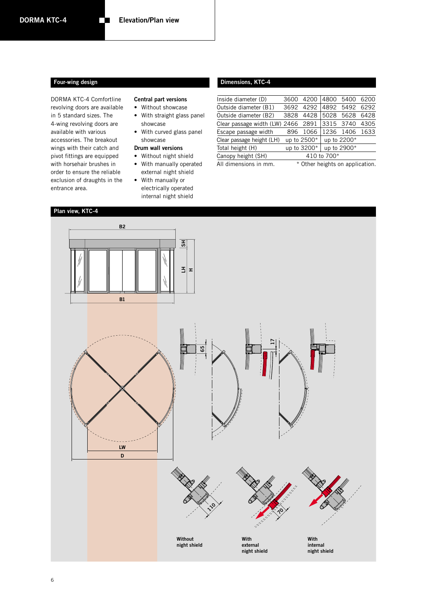DORMA KTC-4 Comfortline revolving doors are available in 5 standard sizes. The 4-wing revolving doors are available with various accessories. The breakout wings with their catch and pivot fittings are equipped with horsehair brushes in order to ensure the reliable exclusion of draughts in the entrance area.

#### **Central part versions**

- Without showcase
- With straight glass panel showcase
- With curved glass panel showcase

#### **Drum wall versions**

- Without night shield
- With manually operated external night shield
- With manually or electrically operated internal night shield

#### **Four-wing design Dimensions, KTC-4**

| Inside diameter (D)                | 3600 | 4200                            | 4800        | 5400        | 6200 |
|------------------------------------|------|---------------------------------|-------------|-------------|------|
| Outside diameter (B1)              | 3692 | 4292                            | 4892        | 5492        | 6292 |
| Outside diameter (B2)              | 3828 | 4428                            | 5028        | 5628        | 6428 |
| Clear passage width (LW) 2466 2891 |      |                                 | 3315        | 3740        | 4305 |
| Escape passage width               | 896  | 1066                            | 1236        | 1406        | 1633 |
| Clear passage height (LH)          |      | up to 2500*                     |             | up to 2200* |      |
| Total height (H)                   |      | up to 3200*                     |             | up to 2900* |      |
| Canopy height (SH)                 |      |                                 | 410 to 700* |             |      |
| All dimensions in mm.              |      | * Other heights on application. |             |             |      |

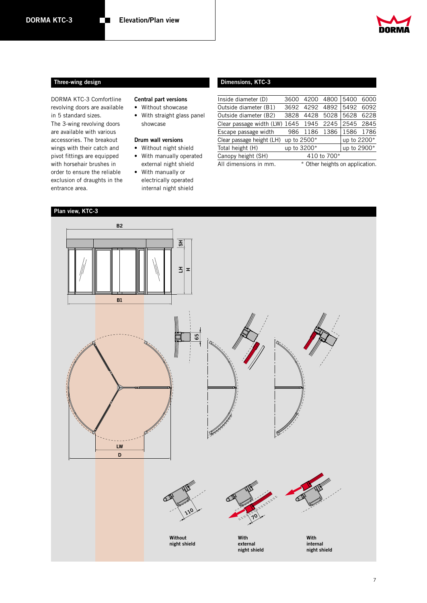

#### **Three-wing design**

DORMA KTC-3 Comfortline revolving doors are available in 5 standard sizes. The 3-wing revolving doors are available with various accessories. The breakout wings with their catch and pivot fittings are equipped with horsehair brushes in order to ensure the reliable exclusion of draughts in the entrance area.

#### **Central part versions**

- Without showcase
- With straight glass panel showcase

#### **Drum wall versions**

- Without night shield • With manually operated
- external night shield • With manually or
- electrically operated internal night shield

#### **Dimensions, KTC-3**

| Inside diameter (D)           | 3600        | 4200 | 4800                            | 5400        | 6000 |
|-------------------------------|-------------|------|---------------------------------|-------------|------|
| Outside diameter (B1)         | 3692        | 4292 | 4892                            | 5492        | 6092 |
| Outside diameter (B2)         | 3828        | 4428 | 5028                            | 5628        | 6228 |
| Clear passage width (LW) 1645 |             | 1945 | 2245                            | 2545        | 2845 |
| Escape passage width          | 986         | 1186 | 1386                            | 1586        | 1786 |
| Clear passage height (LH)     | up to 2500* |      |                                 | up to 2200* |      |
| Total height (H)              | up to 3200* |      |                                 | up to 2900* |      |
| Canopy height (SH)            |             |      | 410 to 700*                     |             |      |
| All dimensions in mm.         |             |      | * Other heights on application. |             |      |

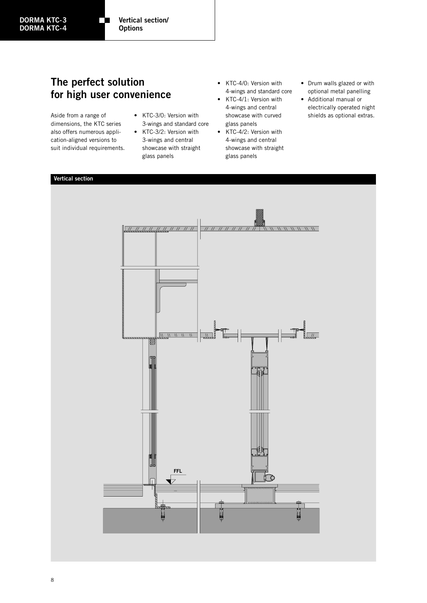### **The perfect solution for high user convenience**

m

Aside from a range of dimensions, the KTC series also offers numerous application-aligned versions to suit individual requirements.

- KTC-3/0: Version with 3-wings and standard core
- KTC-3/2: Version with 3-wings and central showcase with straight glass panels
- KTC-4/0: Version with 4-wings and standard core
- KTC-4/1: Version with 4-wings and central showcase with curved glass panels
- KTC-4/2: Version with 4-wings and central showcase with straight glass panels
- Drum walls glazed or with optional metal panelling
- Additional manual or electrically operated night shields as optional extras.

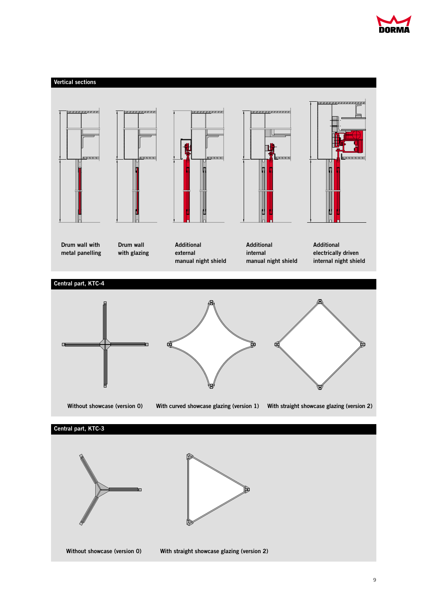

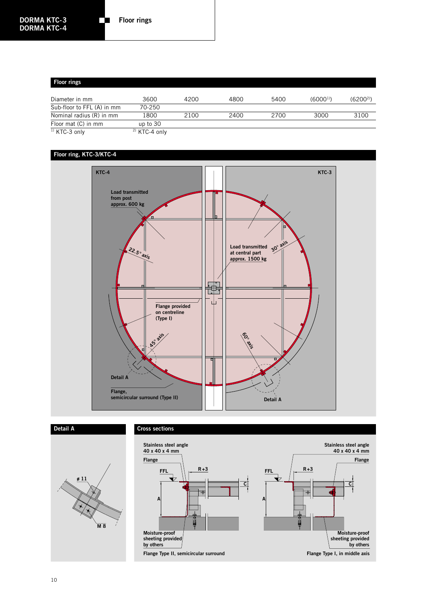#### **Floor rings**

| Diameter in mm             | 3600                     | 4200 | 4800 | 5400 | (6000 <sup>1</sup> ) | $(6200^{2})$ |
|----------------------------|--------------------------|------|------|------|----------------------|--------------|
| Sub-floor to FFL (A) in mm | 70-250                   |      |      |      |                      |              |
| Nominal radius (R) in mm   | 1800                     | 2100 | 2400 | 2700 | 3000                 | 3100         |
| Floor mat (C) in mm        | up to 30                 |      |      |      |                      |              |
| <sup>1)</sup> KTC-3 only   | <sup>2)</sup> KTC-4 only |      |      |      |                      |              |

#### **Floor ring, KTC-3/KTC-4**



#### **Detail ACross sections Stainless steel angle Stainless steel angle 40 x 40 x 4 mm 40 x 40 x 4 mm Flange Flange** FFL  $\left|\right| \left| \frac{R+3}{2}\right|$  $FFL$   $\left| \frac{R+3}{2} \right|$ **ø 11 C C** ├+ **A A M 8 Moisture-proof Moisture-proof sheeting provided sheeting provided by others by others**

**Flange Type II, semicircular surround**

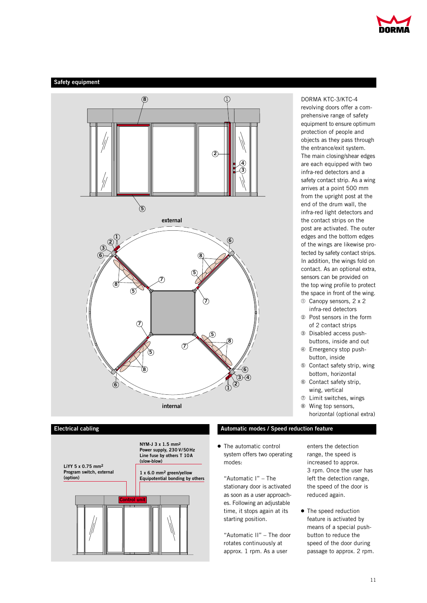

#### **Safety equipment**





**Electrical cabling Automatic modes / Speed reduction feature**

• The automatic control system offers two operating modes:

"Automatic I" – The stationary door is activated as soon as a user approaches. Following an adjustable time, it stops again at its starting position.

"Automatic II" – The door rotates continuously at approx. 1 rpm. As a user

DORMA KTC-3/KTC-4 revolving doors offer a comprehensive range of safety equipment to ensure optimum protection of people and objects as they pass through the entrance/exit system. The main closing/shear edges are each equipped with two infra-red detectors and a safety contact strip. As a wing arrives at a point 500 mm from the upright post at the end of the drum wall, the infra-red light detectors and the contact strips on the post are activated. The outer edges and the bottom edges of the wings are likewise protected by safety contact strips. In addition, the wings fold on contact. As an optional extra, sensors can be provided on the top wing profile to protect the space in front of the wing.

- q Canopy sensors, 2 x 2 infra-red detectors
- 2 Post sensors in the form of 2 contact strips
- <sup>3</sup> Disabled access pushbuttons, inside and out
- 4 Emergency stop pushbutton, inside
- $\circ$  Contact safety strip, wing bottom, horizontal
- $\circ$  Contact safety strip, wing, vertical
- $<sup>2</sup>$  Limit switches, wings</sup>
- <sup>®</sup> Wing top sensors, horizontal (optional extra)

enters the detection range, the speed is increased to approx. 3 rpm. Once the user has left the detection range, the speed of the door is reduced again.

• The speed reduction feature is activated by means of a special pushbutton to reduce the speed of the door during passage to approx. 2 rpm.